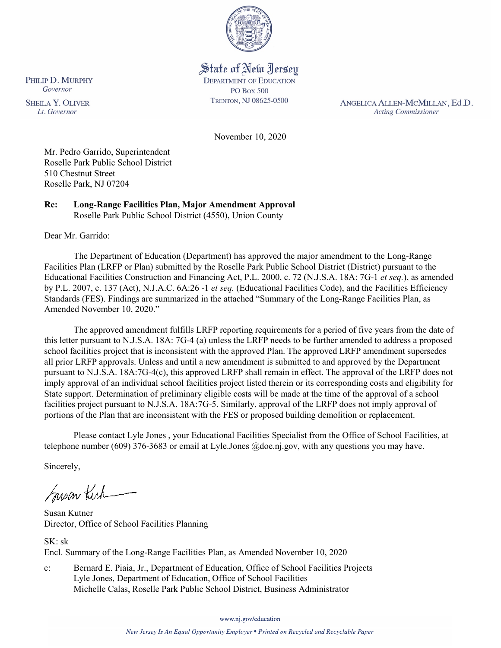

# State of New Jersey

**DEPARTMENT OF EDUCATION PO Box 500** TRENTON, NJ 08625-0500

ANGELICA ALLEN-MCMILLAN, Ed.D. **Acting Commissioner** 

November 10, 2020

Mr. Pedro Garrido, Superintendent Roselle Park Public School District 510 Chestnut Street Roselle Park, NJ 07204

**Re: Long-Range Facilities Plan, Major Amendment Approval**  Roselle Park Public School District (4550), Union County

Dear Mr. Garrido:

The Department of Education (Department) has approved the major amendment to the Long-Range Facilities Plan (LRFP or Plan) submitted by the Roselle Park Public School District (District) pursuant to the Educational Facilities Construction and Financing Act, P.L. 2000, c. 72 (N.J.S.A. 18A: 7G-1 *et seq.*), as amended by P.L. 2007, c. 137 (Act), N.J.A.C. 6A:26 -1 *et seq.* (Educational Facilities Code), and the Facilities Efficiency Standards (FES). Findings are summarized in the attached "Summary of the Long-Range Facilities Plan, as Amended November 10, 2020."

The approved amendment fulfills LRFP reporting requirements for a period of five years from the date of this letter pursuant to N.J.S.A. 18A: 7G-4 (a) unless the LRFP needs to be further amended to address a proposed school facilities project that is inconsistent with the approved Plan. The approved LRFP amendment supersedes all prior LRFP approvals. Unless and until a new amendment is submitted to and approved by the Department pursuant to N.J.S.A. 18A:7G-4(c), this approved LRFP shall remain in effect. The approval of the LRFP does not imply approval of an individual school facilities project listed therein or its corresponding costs and eligibility for State support. Determination of preliminary eligible costs will be made at the time of the approval of a school facilities project pursuant to N.J.S.A. 18A:7G-5. Similarly, approval of the LRFP does not imply approval of portions of the Plan that are inconsistent with the FES or proposed building demolition or replacement.

Please contact Lyle Jones , your Educational Facilities Specialist from the Office of School Facilities, at telephone number (609) 376-3683 or email at Lyle.Jones @doe.nj.gov, with any questions you may have.

Sincerely,

Susan Kich

Susan Kutner Director, Office of School Facilities Planning

SK: sk Encl. Summary of the Long-Range Facilities Plan, as Amended November 10, 2020

c: Bernard E. Piaia, Jr., Department of Education, Office of School Facilities Projects Lyle Jones, Department of Education, Office of School Facilities Michelle Calas, Roselle Park Public School District, Business Administrator

www.nj.gov/education

PHILIP D. MURPHY Governor

**SHEILA Y. OLIVER** Lt. Governor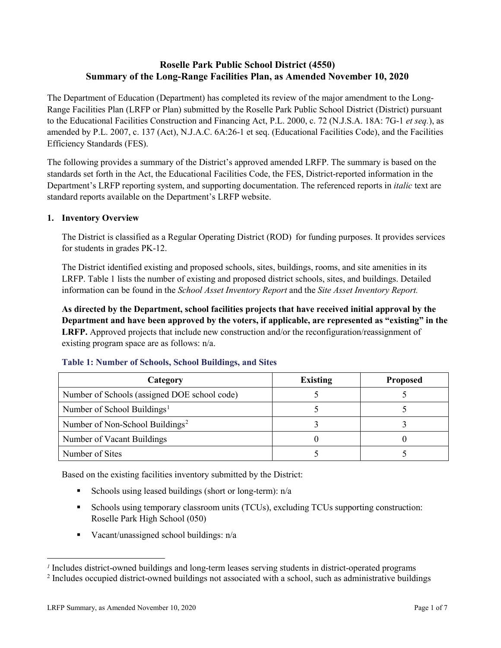# **Roselle Park Public School District (4550) Summary of the Long-Range Facilities Plan, as Amended November 10, 2020**

The Department of Education (Department) has completed its review of the major amendment to the Long-Range Facilities Plan (LRFP or Plan) submitted by the Roselle Park Public School District (District) pursuant to the Educational Facilities Construction and Financing Act, P.L. 2000, c. 72 (N.J.S.A. 18A: 7G-1 *et seq.*), as amended by P.L. 2007, c. 137 (Act), N.J.A.C. 6A:26-1 et seq. (Educational Facilities Code), and the Facilities Efficiency Standards (FES).

The following provides a summary of the District's approved amended LRFP. The summary is based on the standards set forth in the Act, the Educational Facilities Code, the FES, District-reported information in the Department's LRFP reporting system, and supporting documentation. The referenced reports in *italic* text are standard reports available on the Department's LRFP website.

## **1. Inventory Overview**

The District is classified as a Regular Operating District (ROD) for funding purposes. It provides services for students in grades PK-12.

The District identified existing and proposed schools, sites, buildings, rooms, and site amenities in its LRFP. Table 1 lists the number of existing and proposed district schools, sites, and buildings. Detailed information can be found in the *School Asset Inventory Report* and the *Site Asset Inventory Report.*

**As directed by the Department, school facilities projects that have received initial approval by the Department and have been approved by the voters, if applicable, are represented as "existing" in the LRFP.** Approved projects that include new construction and/or the reconfiguration/reassignment of existing program space are as follows: n/a.

| Category                                     | <b>Existing</b> | <b>Proposed</b> |
|----------------------------------------------|-----------------|-----------------|
| Number of Schools (assigned DOE school code) |                 |                 |
| Number of School Buildings <sup>1</sup>      |                 |                 |
| Number of Non-School Buildings <sup>2</sup>  |                 |                 |
| Number of Vacant Buildings                   |                 |                 |
| Number of Sites                              |                 |                 |

#### **Table 1: Number of Schools, School Buildings, and Sites**

Based on the existing facilities inventory submitted by the District:

- Schools using leased buildings (short or long-term):  $n/a$
- Schools using temporary classroom units (TCUs), excluding TCUs supporting construction: Roselle Park High School (050)
- Vacant/unassigned school buildings: n/a

 $\overline{a}$ 

<span id="page-1-0"></span>*<sup>1</sup>* Includes district-owned buildings and long-term leases serving students in district-operated programs

<span id="page-1-1"></span><sup>&</sup>lt;sup>2</sup> Includes occupied district-owned buildings not associated with a school, such as administrative buildings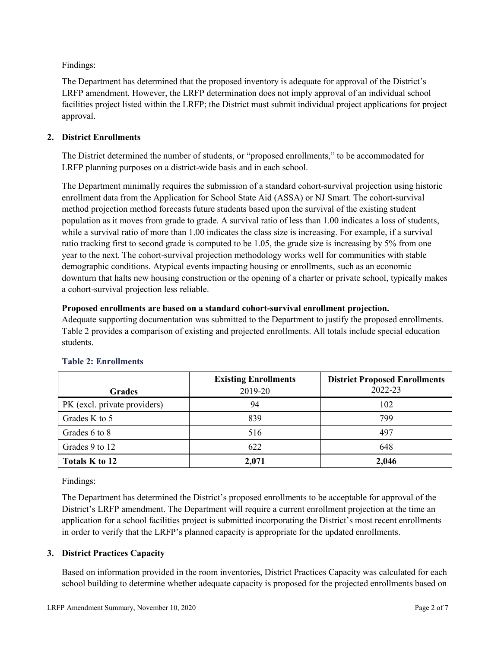Findings:

The Department has determined that the proposed inventory is adequate for approval of the District's LRFP amendment. However, the LRFP determination does not imply approval of an individual school facilities project listed within the LRFP; the District must submit individual project applications for project approval.

## **2. District Enrollments**

The District determined the number of students, or "proposed enrollments," to be accommodated for LRFP planning purposes on a district-wide basis and in each school.

The Department minimally requires the submission of a standard cohort-survival projection using historic enrollment data from the Application for School State Aid (ASSA) or NJ Smart. The cohort-survival method projection method forecasts future students based upon the survival of the existing student population as it moves from grade to grade. A survival ratio of less than 1.00 indicates a loss of students, while a survival ratio of more than 1.00 indicates the class size is increasing. For example, if a survival ratio tracking first to second grade is computed to be 1.05, the grade size is increasing by 5% from one year to the next. The cohort-survival projection methodology works well for communities with stable demographic conditions. Atypical events impacting housing or enrollments, such as an economic downturn that halts new housing construction or the opening of a charter or private school, typically makes a cohort-survival projection less reliable.

## **Proposed enrollments are based on a standard cohort-survival enrollment projection.**

Adequate supporting documentation was submitted to the Department to justify the proposed enrollments. Table 2 provides a comparison of existing and projected enrollments. All totals include special education students.

|                              | <b>Existing Enrollments</b> | <b>District Proposed Enrollments</b> |
|------------------------------|-----------------------------|--------------------------------------|
| <b>Grades</b>                | 2019-20                     | 2022-23                              |
| PK (excl. private providers) | 94                          | 102                                  |
| Grades K to 5                | 839                         | 799                                  |
| Grades 6 to 8                | 516                         | 497                                  |
| Grades 9 to 12               | 622                         | 648                                  |
| Totals K to 12               | 2,071                       | 2,046                                |

# **Table 2: Enrollments**

Findings:

The Department has determined the District's proposed enrollments to be acceptable for approval of the District's LRFP amendment. The Department will require a current enrollment projection at the time an application for a school facilities project is submitted incorporating the District's most recent enrollments in order to verify that the LRFP's planned capacity is appropriate for the updated enrollments.

## **3. District Practices Capacity**

Based on information provided in the room inventories, District Practices Capacity was calculated for each school building to determine whether adequate capacity is proposed for the projected enrollments based on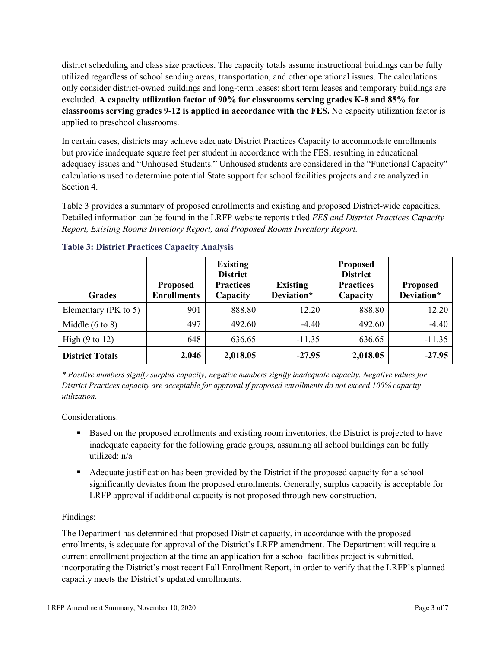district scheduling and class size practices. The capacity totals assume instructional buildings can be fully utilized regardless of school sending areas, transportation, and other operational issues. The calculations only consider district-owned buildings and long-term leases; short term leases and temporary buildings are excluded. **A capacity utilization factor of 90% for classrooms serving grades K-8 and 85% for classrooms serving grades 9-12 is applied in accordance with the FES.** No capacity utilization factor is applied to preschool classrooms.

In certain cases, districts may achieve adequate District Practices Capacity to accommodate enrollments but provide inadequate square feet per student in accordance with the FES, resulting in educational adequacy issues and "Unhoused Students." Unhoused students are considered in the "Functional Capacity" calculations used to determine potential State support for school facilities projects and are analyzed in Section 4.

Table 3 provides a summary of proposed enrollments and existing and proposed District-wide capacities. Detailed information can be found in the LRFP website reports titled *FES and District Practices Capacity Report, Existing Rooms Inventory Report, and Proposed Rooms Inventory Report.*

| <b>Grades</b>              | <b>Proposed</b><br><b>Enrollments</b> | <b>Existing</b><br><b>District</b><br><b>Practices</b><br>Capacity | <b>Existing</b><br>Deviation* | <b>Proposed</b><br><b>District</b><br><b>Practices</b><br>Capacity | <b>Proposed</b><br>Deviation* |
|----------------------------|---------------------------------------|--------------------------------------------------------------------|-------------------------------|--------------------------------------------------------------------|-------------------------------|
| Elementary ( $PK$ to 5)    | 901                                   | 888.80                                                             | 12.20                         | 888.80                                                             | 12.20                         |
| Middle $(6 \text{ to } 8)$ | 497                                   | 492.60                                                             | $-4.40$                       | 492.60                                                             | $-4.40$                       |
| High $(9 \text{ to } 12)$  | 648                                   | 636.65                                                             | $-11.35$                      | 636.65                                                             | $-11.35$                      |
| <b>District Totals</b>     | 2,046                                 | 2,018.05                                                           | $-27.95$                      | 2,018.05                                                           | $-27.95$                      |

## **Table 3: District Practices Capacity Analysis**

*\* Positive numbers signify surplus capacity; negative numbers signify inadequate capacity. Negative values for District Practices capacity are acceptable for approval if proposed enrollments do not exceed 100% capacity utilization.*

Considerations:

- Based on the proposed enrollments and existing room inventories, the District is projected to have inadequate capacity for the following grade groups, assuming all school buildings can be fully utilized: n/a
- Adequate justification has been provided by the District if the proposed capacity for a school significantly deviates from the proposed enrollments. Generally, surplus capacity is acceptable for LRFP approval if additional capacity is not proposed through new construction.

## Findings:

The Department has determined that proposed District capacity, in accordance with the proposed enrollments, is adequate for approval of the District's LRFP amendment. The Department will require a current enrollment projection at the time an application for a school facilities project is submitted, incorporating the District's most recent Fall Enrollment Report, in order to verify that the LRFP's planned capacity meets the District's updated enrollments.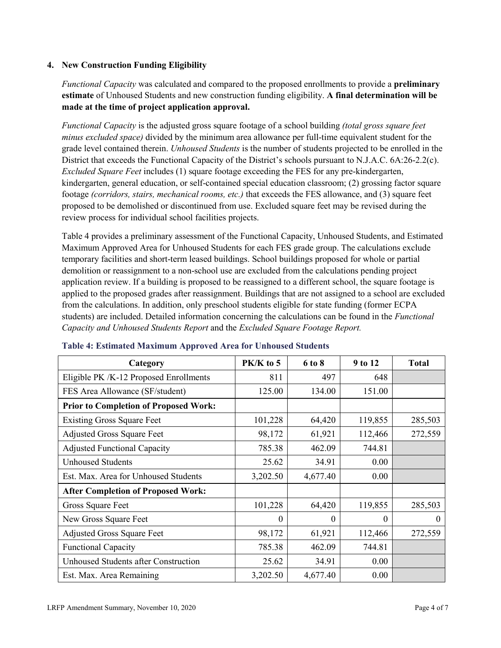#### **4. New Construction Funding Eligibility**

*Functional Capacity* was calculated and compared to the proposed enrollments to provide a **preliminary estimate** of Unhoused Students and new construction funding eligibility. **A final determination will be made at the time of project application approval.**

*Functional Capacity* is the adjusted gross square footage of a school building *(total gross square feet minus excluded space)* divided by the minimum area allowance per full-time equivalent student for the grade level contained therein. *Unhoused Students* is the number of students projected to be enrolled in the District that exceeds the Functional Capacity of the District's schools pursuant to N.J.A.C. 6A:26-2.2(c). *Excluded Square Feet* includes (1) square footage exceeding the FES for any pre-kindergarten, kindergarten, general education, or self-contained special education classroom; (2) grossing factor square footage *(corridors, stairs, mechanical rooms, etc.)* that exceeds the FES allowance, and (3) square feet proposed to be demolished or discontinued from use. Excluded square feet may be revised during the review process for individual school facilities projects.

Table 4 provides a preliminary assessment of the Functional Capacity, Unhoused Students, and Estimated Maximum Approved Area for Unhoused Students for each FES grade group. The calculations exclude temporary facilities and short-term leased buildings. School buildings proposed for whole or partial demolition or reassignment to a non-school use are excluded from the calculations pending project application review. If a building is proposed to be reassigned to a different school, the square footage is applied to the proposed grades after reassignment. Buildings that are not assigned to a school are excluded from the calculations. In addition, only preschool students eligible for state funding (former ECPA students) are included. Detailed information concerning the calculations can be found in the *Functional Capacity and Unhoused Students Report* and the *Excluded Square Footage Report.*

| Category                                     | PK/K to 5 | 6 to 8   | 9 to 12  | <b>Total</b> |
|----------------------------------------------|-----------|----------|----------|--------------|
| Eligible PK /K-12 Proposed Enrollments       | 811       | 497      | 648      |              |
| FES Area Allowance (SF/student)              | 125.00    | 134.00   | 151.00   |              |
| <b>Prior to Completion of Proposed Work:</b> |           |          |          |              |
| <b>Existing Gross Square Feet</b>            | 101,228   | 64,420   | 119,855  | 285,503      |
| <b>Adjusted Gross Square Feet</b>            | 98,172    | 61,921   | 112,466  | 272,559      |
| <b>Adjusted Functional Capacity</b>          | 785.38    | 462.09   | 744.81   |              |
| <b>Unhoused Students</b>                     | 25.62     | 34.91    | 0.00     |              |
| Est. Max. Area for Unhoused Students         | 3,202.50  | 4,677.40 | 0.00     |              |
| <b>After Completion of Proposed Work:</b>    |           |          |          |              |
| Gross Square Feet                            | 101,228   | 64,420   | 119,855  | 285,503      |
| New Gross Square Feet                        | $\theta$  | 0        | $\theta$ | $\Omega$     |
| <b>Adjusted Gross Square Feet</b>            | 98,172    | 61,921   | 112,466  | 272,559      |
| <b>Functional Capacity</b>                   | 785.38    | 462.09   | 744.81   |              |
| Unhoused Students after Construction         | 25.62     | 34.91    | 0.00     |              |
| Est. Max. Area Remaining                     | 3,202.50  | 4,677.40 | 0.00     |              |

#### **Table 4: Estimated Maximum Approved Area for Unhoused Students**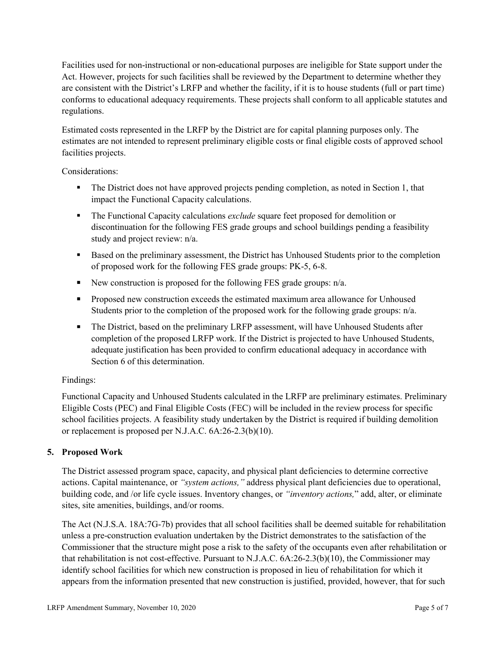Facilities used for non-instructional or non-educational purposes are ineligible for State support under the Act. However, projects for such facilities shall be reviewed by the Department to determine whether they are consistent with the District's LRFP and whether the facility, if it is to house students (full or part time) conforms to educational adequacy requirements. These projects shall conform to all applicable statutes and regulations.

Estimated costs represented in the LRFP by the District are for capital planning purposes only. The estimates are not intended to represent preliminary eligible costs or final eligible costs of approved school facilities projects.

Considerations:

- The District does not have approved projects pending completion, as noted in Section 1, that impact the Functional Capacity calculations.
- **The Functional Capacity calculations** *exclude* square feet proposed for demolition or discontinuation for the following FES grade groups and school buildings pending a feasibility study and project review: n/a.
- **Based on the preliminary assessment, the District has Unhoused Students prior to the completion** of proposed work for the following FES grade groups: PK-5, 6-8.
- New construction is proposed for the following FES grade groups: n/a.
- Proposed new construction exceeds the estimated maximum area allowance for Unhoused Students prior to the completion of the proposed work for the following grade groups: n/a.
- The District, based on the preliminary LRFP assessment, will have Unhoused Students after completion of the proposed LRFP work. If the District is projected to have Unhoused Students, adequate justification has been provided to confirm educational adequacy in accordance with Section 6 of this determination.

## Findings:

Functional Capacity and Unhoused Students calculated in the LRFP are preliminary estimates. Preliminary Eligible Costs (PEC) and Final Eligible Costs (FEC) will be included in the review process for specific school facilities projects. A feasibility study undertaken by the District is required if building demolition or replacement is proposed per N.J.A.C. 6A:26-2.3(b)(10).

## **5. Proposed Work**

The District assessed program space, capacity, and physical plant deficiencies to determine corrective actions. Capital maintenance, or *"system actions,"* address physical plant deficiencies due to operational, building code, and /or life cycle issues. Inventory changes, or *"inventory actions,*" add, alter, or eliminate sites, site amenities, buildings, and/or rooms.

The Act (N.J.S.A. 18A:7G-7b) provides that all school facilities shall be deemed suitable for rehabilitation unless a pre-construction evaluation undertaken by the District demonstrates to the satisfaction of the Commissioner that the structure might pose a risk to the safety of the occupants even after rehabilitation or that rehabilitation is not cost-effective. Pursuant to N.J.A.C. 6A:26-2.3(b)(10), the Commissioner may identify school facilities for which new construction is proposed in lieu of rehabilitation for which it appears from the information presented that new construction is justified, provided, however, that for such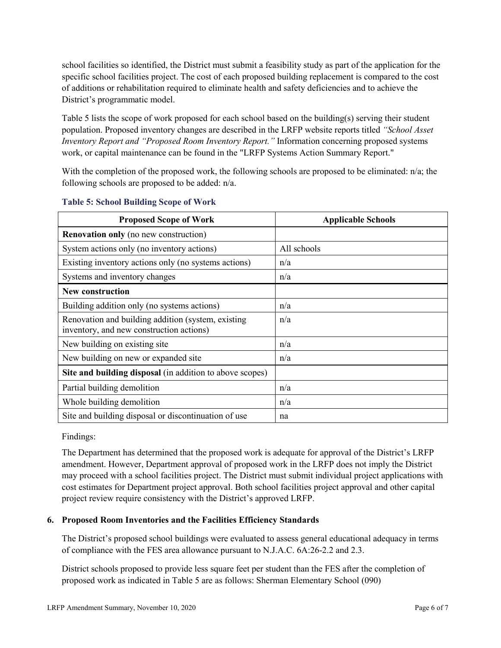school facilities so identified, the District must submit a feasibility study as part of the application for the specific school facilities project. The cost of each proposed building replacement is compared to the cost of additions or rehabilitation required to eliminate health and safety deficiencies and to achieve the District's programmatic model.

Table 5 lists the scope of work proposed for each school based on the building(s) serving their student population. Proposed inventory changes are described in the LRFP website reports titled *"School Asset Inventory Report and "Proposed Room Inventory Report."* Information concerning proposed systems work, or capital maintenance can be found in the "LRFP Systems Action Summary Report."

With the completion of the proposed work, the following schools are proposed to be eliminated: n/a; the following schools are proposed to be added: n/a.

| <b>Proposed Scope of Work</b>                                                                  | <b>Applicable Schools</b> |
|------------------------------------------------------------------------------------------------|---------------------------|
| <b>Renovation only</b> (no new construction)                                                   |                           |
| System actions only (no inventory actions)                                                     | All schools               |
| Existing inventory actions only (no systems actions)                                           | n/a                       |
| Systems and inventory changes                                                                  | n/a                       |
| <b>New construction</b>                                                                        |                           |
| Building addition only (no systems actions)                                                    | n/a                       |
| Renovation and building addition (system, existing<br>inventory, and new construction actions) | n/a                       |
| New building on existing site.                                                                 | n/a                       |
| New building on new or expanded site                                                           | n/a                       |
| Site and building disposal (in addition to above scopes)                                       |                           |
| Partial building demolition                                                                    | n/a                       |
| Whole building demolition                                                                      | n/a                       |
| Site and building disposal or discontinuation of use                                           | na                        |

#### **Table 5: School Building Scope of Work**

Findings:

The Department has determined that the proposed work is adequate for approval of the District's LRFP amendment. However, Department approval of proposed work in the LRFP does not imply the District may proceed with a school facilities project. The District must submit individual project applications with cost estimates for Department project approval. Both school facilities project approval and other capital project review require consistency with the District's approved LRFP.

## **6. Proposed Room Inventories and the Facilities Efficiency Standards**

The District's proposed school buildings were evaluated to assess general educational adequacy in terms of compliance with the FES area allowance pursuant to N.J.A.C. 6A:26-2.2 and 2.3.

District schools proposed to provide less square feet per student than the FES after the completion of proposed work as indicated in Table 5 are as follows: Sherman Elementary School (090)